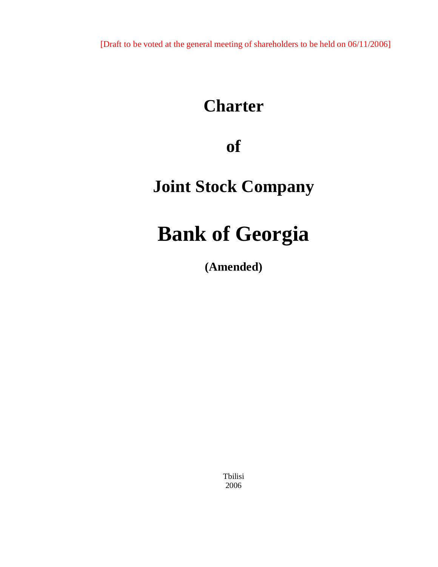[Draft to be voted at the general meeting of shareholders to be held on 06/11/2006]

# **Charter**

## **of**

# **Joint Stock Company**

# **Bank of Georgia**

**(Amended)** 

Tbilisi 2006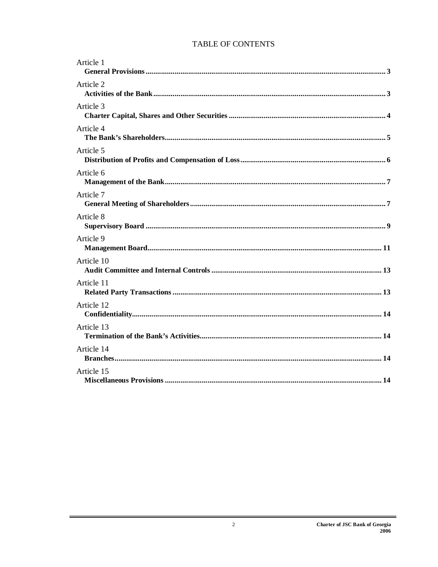### TABLE OF CONTENTS

| Article 1  |
|------------|
| Article 2  |
| Article 3  |
| Article 4  |
| Article 5  |
| Article 6  |
| Article 7  |
| Article 8  |
| Article 9  |
| Article 10 |
| Article 11 |
| Article 12 |
| Article 13 |
| Article 14 |
| Article 15 |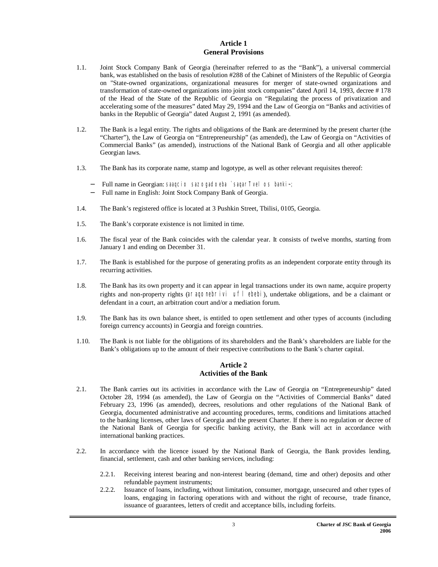#### **Article 1 General Provisions**

- 1.1. Joint Stock Company Bank of Georgia (hereinafter referred to as the "Bank"), a universal commercial bank, was established on the basis of resolution #288 of the Cabinet of Ministers of the Republic of Georgia on "State-owned organizations, organizational measures for merger of state-owned organizations and transformation of state-owned organizations into joint stock companies" dated April 14, 1993, decree # 178 of the Head of the State of the Republic of Georgia on "Regulating the process of privatization and accelerating some of the measures" dated May 29, 1994 and the Law of Georgia on "Banks and activities of banks in the Republic of Georgia" dated August 2, 1991 (as amended).
- 1.2. The Bank is a legal entity. The rights and obligations of the Bank are determined by the present charter (the "Charter"), the Law of Georgia on "Entrepreneurship" (as amended), the Law of Georgia on "Activities of Commercial Banks" (as amended), instructions of the National Bank of Georgia and all other applicable Georgian laws.
- 1.3. The Bank has its corporate name, stamp and logotype, as well as other relevant requisites thereof:
	- − Full name in Georgian: saaqcio sazogadoeba `saqarTvelos banki~;
	- − Full name in English: Joint Stock Company Bank of Georgia.
- 1.4. The Bank's registered office is located at 3 Pushkin Street, Tbilisi, 0105, Georgia.
- 1.5. The Bank's corporate existence is not limited in time.
- 1.6. The fiscal year of the Bank coincides with the calendar year. It consists of twelve months, starting from January 1 and ending on December 31.
- 1.7. The Bank is established for the purpose of generating profits as an independent corporate entity through its recurring activities.
- 1.8. The Bank has its own property and it can appear in legal transactions under its own name, acquire property rights and non-property rights (*araqonebrivi uflebebi*), undertake obligations, and be a claimant or defendant in a court, an arbitration court and/or a mediation forum.
- 1.9. The Bank has its own balance sheet, is entitled to open settlement and other types of accounts (including foreign currency accounts) in Georgia and foreign countries.
- 1.10. The Bank is not liable for the obligations of its shareholders and the Bank's shareholders are liable for the Bank's obligations up to the amount of their respective contributions to the Bank's charter capital.

#### **Article 2 Activities of the Bank**

- 2.1. The Bank carries out its activities in accordance with the Law of Georgia on "Entrepreneurship" dated October 28, 1994 (as amended), the Law of Georgia on the "Activities of Commercial Banks" dated February 23, 1996 (as amended), decrees, resolutions and other regulations of the National Bank of Georgia, documented administrative and accounting procedures, terms, conditions and limitations attached to the banking licenses, other laws of Georgia and the present Charter. If there is no regulation or decree of the National Bank of Georgia for specific banking activity, the Bank will act in accordance with international banking practices.
- 2.2. In accordance with the licence issued by the National Bank of Georgia, the Bank provides lending, financial, settlement, cash and other banking services, including:
	- 2.2.1. Receiving interest bearing and non-interest bearing (demand, time and other) deposits and other refundable payment instruments;
	- 2.2.2. Issuance of loans, including, without limitation, consumer, mortgage, unsecured and other types of loans, engaging in factoring operations with and without the right of recourse, trade finance, issuance of guarantees, letters of credit and acceptance bills, including forfeits.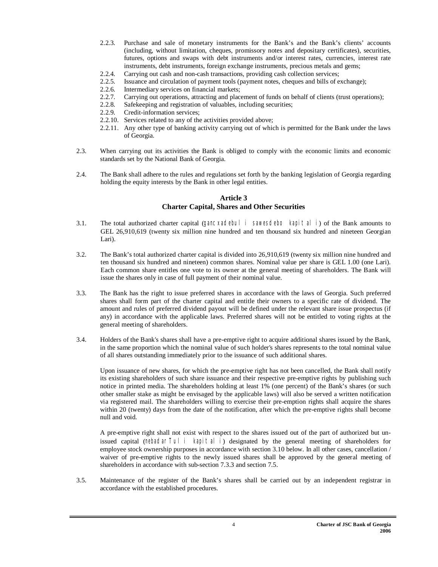- 2.2.3. Purchase and sale of monetary instruments for the Bank's and the Bank's clients' accounts (including, without limitation, cheques, promissory notes and depositary certificates), securities, futures, options and swaps with debt instruments and/or interest rates, currencies, interest rate instruments, debt instruments, foreign exchange instruments, precious metals and gems;
- 2.2.4. Carrying out cash and non-cash transactions, providing cash collection services;
- 2.2.5. Issuance and circulation of payment tools (payment notes, cheques and bills of exchange);
- 2.2.6. Intermediary services on financial markets;
- 2.2.7. Carrying out operations, attracting and placement of funds on behalf of clients (trust operations);
- 2.2.8. Safekeeping and registration of valuables, including securities;
- 2.2.9. Credit-information services;
- 2.2.10. Services related to any of the activities provided above;
- 2.2.11. Any other type of banking activity carrying out of which is permitted for the Bank under the laws of Georgia.
- 2.3. When carrying out its activities the Bank is obliged to comply with the economic limits and economic standards set by the National Bank of Georgia.
- 2.4. The Bank shall adhere to the rules and regulations set forth by the banking legislation of Georgia regarding holding the equity interests by the Bank in other legal entities.

#### **Article 3 Charter Capital, Shares and Other Securities**

- 3.1. The total authorized charter capital (*gancxadebuli sawesdebo kapitali*) of the Bank amounts to GEL 26,910,619 (twenty six million nine hundred and ten thousand six hundred and nineteen Georgian Lari).
- 3.2. The Bank's total authorized charter capital is divided into 26,910,619 (twenty six million nine hundred and ten thousand six hundred and nineteen) common shares. Nominal value per share is GEL 1.00 (one Lari). Each common share entitles one vote to its owner at the general meeting of shareholders. The Bank will issue the shares only in case of full payment of their nominal value.
- 3.3. The Bank has the right to issue preferred shares in accordance with the laws of Georgia. Such preferred shares shall form part of the charter capital and entitle their owners to a specific rate of dividend. The amount and rules of preferred dividend payout will be defined under the relevant share issue prospectus (if any) in accordance with the applicable laws. Preferred shares will not be entitled to voting rights at the general meeting of shareholders.
- 3.4. Holders of the Bank's shares shall have a pre-emptive right to acquire additional shares issued by the Bank, in the same proportion which the nominal value of such holder's shares represents to the total nominal value of all shares outstanding immediately prior to the issuance of such additional shares.

Upon issuance of new shares, for which the pre-emptive right has not been cancelled, the Bank shall notify its existing shareholders of such share issuance and their respective pre-emptive rights by publishing such notice in printed media. The shareholders holding at least 1% (one percent) of the Bank's shares (or such other smaller stake as might be envisaged by the applicable laws) will also be served a written notification via registered mail. The shareholders willing to exercise their pre-emption rights shall acquire the shares within 20 (twenty) days from the date of the notification, after which the pre-emptive rights shall become null and void.

A pre-emptive right shall not exist with respect to the shares issued out of the part of authorized but unissued capital (*nebadarTuli kapitali*) designated by the general meeting of shareholders for employee stock ownership purposes in accordance with section 3.10 below. In all other cases, cancellation / waiver of pre-emptive rights to the newly issued shares shall be approved by the general meeting of shareholders in accordance with sub-section 7.3.3 and section 7.5.

3.5. Maintenance of the register of the Bank's shares shall be carried out by an independent registrar in accordance with the established procedures.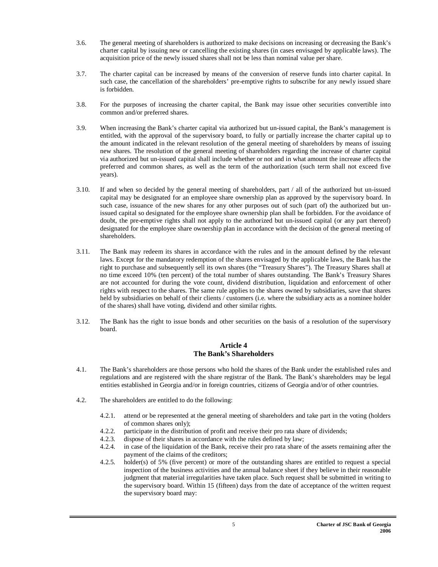- 3.6. The general meeting of shareholders is authorized to make decisions on increasing or decreasing the Bank's charter capital by issuing new or cancelling the existing shares (in cases envisaged by applicable laws). The acquisition price of the newly issued shares shall not be less than nominal value per share.
- 3.7. The charter capital can be increased by means of the conversion of reserve funds into charter capital. In such case, the cancellation of the shareholders' pre-emptive rights to subscribe for any newly issued share is forbidden.
- 3.8. For the purposes of increasing the charter capital, the Bank may issue other securities convertible into common and/or preferred shares.
- 3.9. When increasing the Bank's charter capital via authorized but un-issued capital, the Bank's management is entitled, with the approval of the supervisory board, to fully or partially increase the charter capital up to the amount indicated in the relevant resolution of the general meeting of shareholders by means of issuing new shares. The resolution of the general meeting of shareholders regarding the increase of charter capital via authorized but un-issued capital shall include whether or not and in what amount the increase affects the preferred and common shares, as well as the term of the authorization (such term shall not exceed five years).
- 3.10. If and when so decided by the general meeting of shareholders, part / all of the authorized but un-issued capital may be designated for an employee share ownership plan as approved by the supervisory board. In such case, issuance of the new shares for any other purposes out of such (part of) the authorized but unissued capital so designated for the employee share ownership plan shall be forbidden. For the avoidance of doubt, the pre-emptive rights shall not apply to the authorized but un-issued capital (or any part thereof) designated for the employee share ownership plan in accordance with the decision of the general meeting of shareholders.
- 3.11. The Bank may redeem its shares in accordance with the rules and in the amount defined by the relevant laws. Except for the mandatory redemption of the shares envisaged by the applicable laws, the Bank has the right to purchase and subsequently sell its own shares (the "Treasury Shares"). The Treasury Shares shall at no time exceed 10% (ten percent) of the total number of shares outstanding. The Bank's Treasury Shares are not accounted for during the vote count, dividend distribution, liquidation and enforcement of other rights with respect to the shares. The same rule applies to the shares owned by subsidiaries, save that shares held by subsidiaries on behalf of their clients / customers (i.e. where the subsidiary acts as a nominee holder of the shares) shall have voting, dividend and other similar rights.
- 3.12. The Bank has the right to issue bonds and other securities on the basis of a resolution of the supervisory board.

#### **Article 4 The Bank's Shareholders**

- 4.1. The Bank's shareholders are those persons who hold the shares of the Bank under the established rules and regulations and are registered with the share registrar of the Bank. The Bank's shareholders may be legal entities established in Georgia and/or in foreign countries, citizens of Georgia and/or of other countries.
- 4.2. The shareholders are entitled to do the following:
	- 4.2.1. attend or be represented at the general meeting of shareholders and take part in the voting (holders of common shares only);
	- 4.2.2. participate in the distribution of profit and receive their pro rata share of dividends;
	- 4.2.3. dispose of their shares in accordance with the rules defined by law;
	- 4.2.4. in case of the liquidation of the Bank, receive their pro rata share of the assets remaining after the payment of the claims of the creditors;
	- 4.2.5. holder(s) of 5% (five percent) or more of the outstanding shares are entitled to request a special inspection of the business activities and the annual balance sheet if they believe in their reasonable judgment that material irregularities have taken place. Such request shall be submitted in writing to the supervisory board. Within 15 (fifteen) days from the date of acceptance of the written request the supervisory board may: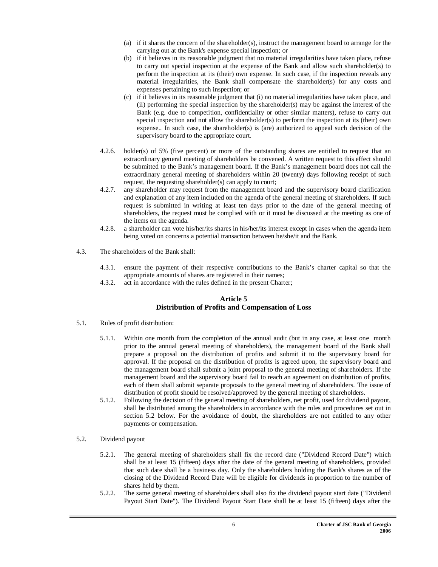- (a) if it shares the concern of the shareholder(s), instruct the management board to arrange for the carrying out at the Bank's expense special inspection; or
- (b) if it believes in its reasonable judgment that no material irregularities have taken place, refuse to carry out special inspection at the expense of the Bank and allow such shareholder(s) to perform the inspection at its (their) own expense. In such case, if the inspection reveals any material irregularities, the Bank shall compensate the shareholder(s) for any costs and expenses pertaining to such inspection; or
- (c) if it believes in its reasonable judgment that (i) no material irregularities have taken place, and (ii) performing the special inspection by the shareholder(s) may be against the interest of the Bank (e.g. due to competition, confidentiality or other similar matters), refuse to carry out special inspection and not allow the shareholder(s) to perform the inspection at its (their) own expense.. In such case, the shareholder(s) is (are) authorized to appeal such decision of the supervisory board to the appropriate court.
- 4.2.6. holder(s) of 5% (five percent) or more of the outstanding shares are entitled to request that an extraordinary general meeting of shareholders be convened. A written request to this effect should be submitted to the Bank's management board. If the Bank's management board does not call the extraordinary general meeting of shareholders within 20 (twenty) days following receipt of such request, the requesting shareholder(s) can apply to court;
- 4.2.7. any shareholder may request from the management board and the supervisory board clarification and explanation of any item included on the agenda of the general meeting of shareholders. If such request is submitted in writing at least ten days prior to the date of the general meeting of shareholders, the request must be complied with or it must be discussed at the meeting as one of the items on the agenda.
- 4.2.8. a shareholder can vote his/her/its shares in his/her/its interest except in cases when the agenda item being voted on concerns a potential transaction between he/she/it and the Bank.
- 4.3. The shareholders of the Bank shall:
	- 4.3.1. ensure the payment of their respective contributions to the Bank's charter capital so that the appropriate amounts of shares are registered in their names;
	- 4.3.2. act in accordance with the rules defined in the present Charter;

#### **Article 5 Distribution of Profits and Compensation of Loss**

- 5.1. Rules of profit distribution:
	- 5.1.1. Within one month from the completion of the annual audit (but in any case, at least one month prior to the annual general meeting of shareholders), the management board of the Bank shall prepare a proposal on the distribution of profits and submit it to the supervisory board for approval. If the proposal on the distribution of profits is agreed upon, the supervisory board and the management board shall submit a joint proposal to the general meeting of shareholders. If the management board and the supervisory board fail to reach an agreement on distribution of profits, each of them shall submit separate proposals to the general meeting of shareholders. The issue of distribution of profit should be resolved/approved by the general meeting of shareholders.
	- 5.1.2. Following the decision of the general meeting of shareholders, net profit, used for dividend payout, shall be distributed among the shareholders in accordance with the rules and procedures set out in section 5.2 below. For the avoidance of doubt, the shareholders are not entitled to any other payments or compensation.
- 5.2. Dividend payout
	- 5.2.1. The general meeting of shareholders shall fix the record date ("Dividend Record Date") which shall be at least 15 (fifteen) days after the date of the general meeting of shareholders, provided that such date shall be a business day. Only the shareholders holding the Bank's shares as of the closing of the Dividend Record Date will be eligible for dividends in proportion to the number of shares held by them.
	- 5.2.2. The same general meeting of shareholders shall also fix the dividend payout start date ("Dividend Payout Start Date"). The Dividend Payout Start Date shall be at least 15 (fifteen) days after the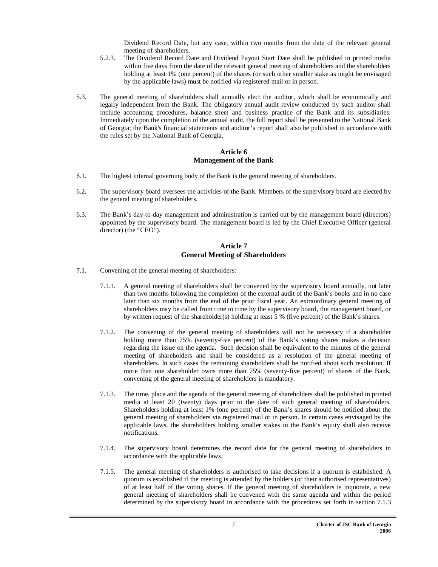Dividend Record Date, but any case, within two months from the date of the relevant general meeting of shareholders.

- 5.2.3. The Dividend Record Date and Dividend Payout Start Date shall be published in printed media within five days from the date of the relevant general meeting of shareholders and the shareholders holding at least 1% (one percent) of the shares (or such other smaller stake as might be envisaged by the applicable laws) must be notified via registered mail or in person.
- 5.3. The general meeting of shareholders shall annually elect the auditor, which shall be economically and legally independent from the Bank. The obligatory annual audit review conducted by such auditor shall include accounting procedures, balance sheet and business practice of the Bank and its subsidiaries. Immediately upon the completion of the annual audit, the full report shall be presented to the National Bank of Georgia; the Bank's financial statements and auditor's report shall also be published in accordance with the rules set by the National Bank of Georgia.

#### **Article 6 Management of the Bank**

- 6.1. The highest internal governing body of the Bank is the general meeting of shareholders.
- 6.2. The supervisory board oversees the activities of the Bank. Members of the supervisory board are elected by the general meeting of shareholders.
- 6.3. The Bank's day-to-day management and administration is carried out by the management board (directors) appointed by the supervisory board. The management board is led by the Chief Executive Officer (general director) (the "CEO").

#### **Article 7 General Meeting of Shareholders**

- 7.1. Convening of the general meeting of shareholders:
	- 7.1.1. A general meeting of shareholders shall be convened by the supervisory board annually, not later than two months following the completion of the external audit of the Bank's books and in no case later than six months from the end of the prior fiscal year. An extraordinary general meeting of shareholders may be called from time to time by the supervisory board, the management board, or by written request of the shareholder(s) holding at least 5 % (five percent) of the Bank's shares.
	- 7.1.2. The convening of the general meeting of shareholders will not be necessary if a shareholder holding more than 75% (seventy-five percent) of the Bank's voting shares makes a decision regarding the issue on the agenda. Such decision shall be equivalent to the minutes of the general meeting of shareholders and shall be considered as a resolution of the general meeting of shareholders. In such cases the remaining shareholders shall be notified about such resolution. If more than one shareholder owns more than 75% (seventy-five percent) of shares of the Bank, convening of the general meeting of shareholders is mandatory.
	- 7.1.3. The time, place and the agenda of the general meeting of shareholders shall be published in printed media at least 20 (twenty) days prior to the date of such general meeting of shareholders. Shareholders holding at least 1% (one percent) of the Bank's shares should be notified about the general meeting of shareholders via registered mail or in person. In certain cases envisaged by the applicable laws, the shareholders holding smaller stakes in the Bank's equity shall also receive notifications.
	- 7.1.4. The supervisory board determines the record date for the general meeting of shareholders in accordance with the applicable laws.
	- 7.1.5. The general meeting of shareholders is authorised to take decisions if a quorum is established. A quorum is established if the meeting is attended by the holders (or their authorised representatives) of at least half of the voting shares. If the general meeting of shareholders is inquorate, a new general meeting of shareholders shall be convened with the same agenda and within the period determined by the supervisory board in accordance with the procedures set forth in section 7.1.3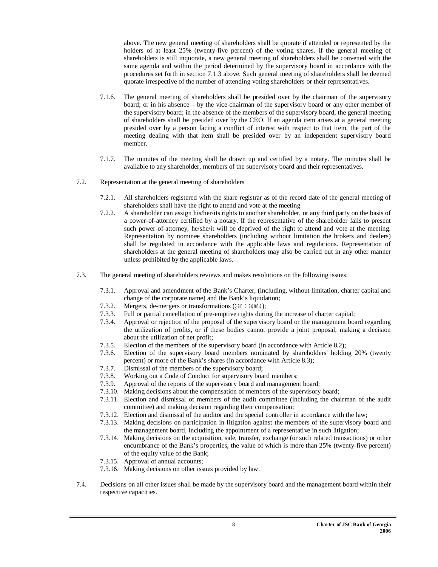above. The new general meeting of shareholders shall be quorate if attended or represented by the holders of at least 25% (twenty-five percent) of the voting shares. If the general meeting of shareholders is still inquorate, a new general meeting of shareholders shall be convened with the same agenda and within the period determined by the supervisory board in accordance with the procedures set forth in section 7.1.3 above. Such general meeting of shareholders shall be deemed quorate irrespective of the number of attending voting shareholders or their representatives.

- 7.1.6. The general meeting of shareholders shall be presided over by the chairman of the supervisory board; or in his absence – by the vice-chairman of the supervisory board or any other member of the supervisory board; in the absence of the members of the supervisory board, the general meeting of shareholders shall be presided over by the CEO. If an agenda item arises at a general meeting presided over by a person facing a conflict of interest with respect to that item, the part of the meeting dealing with that item shall be presided over by an independent supervisory board member.
- 7.1.7. The minutes of the meeting shall be drawn up and certified by a notary. The minutes shall be available to any shareholder, members of the supervisory board and their representatives.
- 7.2. Representation at the general meeting of shareholders
	- 7.2.1. All shareholders registered with the share registrar as of the record date of the general meeting of shareholders shall have the right to attend and vote at the meeting
	- 7.2.2. A shareholder can assign his/her/its rights to another shareholder, or any third party on the basis of a power-of-attorney certified by a notary. If the representative of the shareholder fails to present such power-of-attorney, he/she/it will be deprived of the right to attend and vote at the meeting. Representation by nominee shareholders (including without limitation the brokers and dealers) shall be regulated in accordance with the applicable laws and regulations. Representation of shareholders at the general meeting of shareholders may also be carried out in any other manner unless prohibited by the applicable laws.
- 7.3. The general meeting of shareholders reviews and makes resolutions on the following issues:
	- 7.3.1. Approval and amendment of the Bank's Charter, (including, without limitation, charter capital and change of the corporate name) and the Bank's liquidation;
	- 7.3.2. Mergers, de-mergers or transformations (*gardaqmna*);
	- 7.3.3. Full or partial cancellation of pre-emptive rights during the increase of charter capital;
	- 7.3.4. Approval or rejection of the proposal of the supervisory board or the management board regarding the utilization of profits, or if these bodies cannot provide a joint proposal, making a decision about the utilization of net profit;
	- 7.3.5. Election of the members of the supervisory board (in accordance with Article 8.2);
	- 7.3.6. Election of the supervisory board members nominated by shareholders' holding 20% (twenty percent) or more of the Bank's shares (in accordance with Article 8.3);
	- 7.3.7. Dismissal of the members of the supervisory board;
	- 7.3.8. Working out a Code of Conduct for supervisory board members;
	- 7.3.9. Approval of the reports of the supervisory board and management board;
	- 7.3.10. Making decisions about the compensation of members of the supervisory board;
	- 7.3.11. Election and dismissal of members of the audit committee (including the chairman of the audit committee) and making decision regarding their compensation;
	- 7.3.12. Election and dismissal of the auditor and the special controller in accordance with the law;
	- 7.3.13. Making decisions on participation in litigation against the members of the supervisory board and the management board, including the appointment of a representative in such litigation;
	- 7.3.14. Making decisions on the acquisition, sale, transfer, exchange (or such related transactions) or other encumbrance of the Bank's properties, the value of which is more than 25% (twenty-five percent) of the equity value of the Bank;
	- 7.3.15. Approval of annual accounts;
	- 7.3.16. Making decisions on other issues provided by law.
- 7.4. Decisions on all other issues shall be made by the supervisory board and the management board within their respective capacities.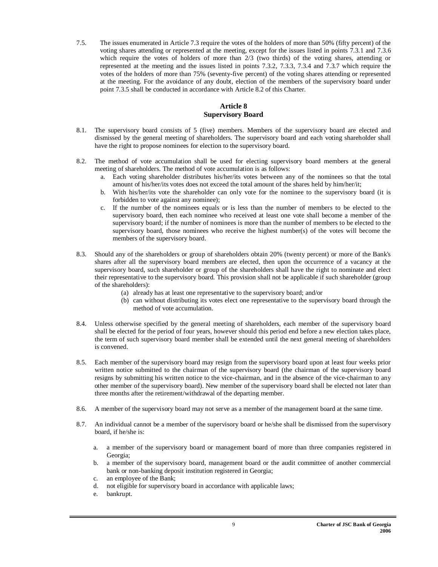7.5. The issues enumerated in Article 7.3 require the votes of the holders of more than 50% (fifty percent) of the voting shares attending or represented at the meeting, except for the issues listed in points 7.3.1 and 7.3.6 which require the votes of holders of more than  $2/3$  (two thirds) of the voting shares, attending or represented at the meeting and the issues listed in points 7.3.2, 7.3.3, 7.3.4 and 7.3.7 which require the votes of the holders of more than 75% (seventy-five percent) of the voting shares attending or represented at the meeting. For the avoidance of any doubt, election of the members of the supervisory board under point 7.3.5 shall be conducted in accordance with Article 8.2 of this Charter.

### **Article 8 Supervisory Board**

- 8.1. The supervisory board consists of 5 (five) members. Members of the supervisory board are elected and dismissed by the general meeting of shareholders. The supervisory board and each voting shareholder shall have the right to propose nominees for election to the supervisory board.
- 8.2. The method of vote accumulation shall be used for electing supervisory board members at the general meeting of shareholders. The method of vote accumulation is as follows:
	- a. Each voting shareholder distributes his/her/its votes between any of the nominees so that the total amount of his/her/its votes does not exceed the total amount of the shares held by him/her/it;
	- b. With his/her/its vote the shareholder can only vote for the nominee to the supervisory board (it is forbidden to vote against any nominee);
	- c. If the number of the nominees equals or is less than the number of members to be elected to the supervisory board, then each nominee who received at least one vote shall become a member of the supervisory board; if the number of nominees is more than the number of members to be elected to the supervisory board, those nominees who receive the highest number(s) of the votes will become the members of the supervisory board.
- 8.3. Should any of the shareholders or group of shareholders obtain 20% (twenty percent) or more of the Bank's shares after all the supervisory board members are elected, then upon the occurrence of a vacancy at the supervisory board, such shareholder or group of the shareholders shall have the right to nominate and elect their representative to the supervisory board. This provision shall not be applicable if such shareholder (group of the shareholders):
	- (a) already has at least one representative to the supervisory board; and/or
	- (b) can without distributing its votes elect one representative to the supervisory board through the method of vote accumulation.
- 8.4. Unless otherwise specified by the general meeting of shareholders, each member of the supervisory board shall be elected for the period of four years, however should this period end before a new election takes place, the term of such supervisory board member shall be extended until the next general meeting of shareholders is convened.
- 8.5. Each member of the supervisory board may resign from the supervisory board upon at least four weeks prior written notice submitted to the chairman of the supervisory board (the chairman of the supervisory board resigns by submitting his written notice to the vice-chairman, and in the absence of the vice-chairman to any other member of the supervisory board). New member of the supervisory board shall be elected not later than three months after the retirement/withdrawal of the departing member.
- 8.6. A member of the supervisory board may not serve as a member of the management board at the same time.
- 8.7. An individual cannot be a member of the supervisory board or he/she shall be dismissed from the supervisory board, if he/she is:
	- a. a member of the supervisory board or management board of more than three companies registered in Georgia;
	- b. a member of the supervisory board, management board or the audit committee of another commercial bank or non-banking deposit institution registered in Georgia;
	- c. an employee of the Bank;
	- d. not eligible for supervisory board in accordance with applicable laws;
	- e. bankrupt.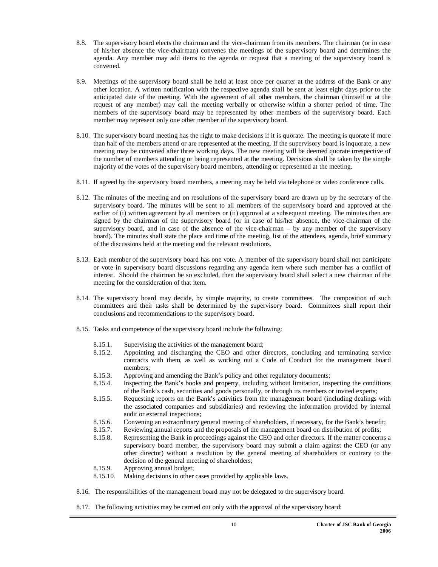- 8.8. The supervisory board elects the chairman and the vice-chairman from its members. The chairman (or in case of his/her absence the vice-chairman) convenes the meetings of the supervisory board and determines the agenda. Any member may add items to the agenda or request that a meeting of the supervisory board is convened.
- 8.9. Meetings of the supervisory board shall be held at least once per quarter at the address of the Bank or any other location. A written notification with the respective agenda shall be sent at least eight days prior to the anticipated date of the meeting. With the agreement of all other members, the chairman (himself or at the request of any member) may call the meeting verbally or otherwise within a shorter period of time. The members of the supervisory board may be represented by other members of the supervisory board. Each member may represent only one other member of the supervisory board.
- 8.10. The supervisory board meeting has the right to make decisions if it is quorate. The meeting is quorate if more than half of the members attend or are represented at the meeting. If the supervisory board is inquorate, a new meeting may be convened after three working days. The new meeting will be deemed quorate irrespective of the number of members attending or being represented at the meeting. Decisions shall be taken by the simple majority of the votes of the supervisory board members, attending or represented at the meeting.
- 8.11. If agreed by the supervisory board members, a meeting may be held via telephone or video conference calls.
- 8.12. The minutes of the meeting and on resolutions of the supervisory board are drawn up by the secretary of the supervisory board. The minutes will be sent to all members of the supervisory board and approved at the earlier of (i) written agreement by all members or (ii) approval at a subsequent meeting. The minutes then are signed by the chairman of the supervisory board (or in case of his/her absence, the vice-chairman of the supervisory board, and in case of the absence of the vice-chairman – by any member of the supervisory board). The minutes shall state the place and time of the meeting, list of the attendees, agenda, brief summary of the discussions held at the meeting and the relevant resolutions.
- 8.13. Each member of the supervisory board has one vote. A member of the supervisory board shall not participate or vote in supervisory board discussions regarding any agenda item where such member has a conflict of interest. Should the chairman be so excluded, then the supervisory board shall select a new chairman of the meeting for the consideration of that item.
- 8.14. The supervisory board may decide, by simple majority, to create committees. The composition of such committees and their tasks shall be determined by the supervisory board. Committees shall report their conclusions and recommendations to the supervisory board.
- 8.15. Tasks and competence of the supervisory board include the following:
	- 8.15.1. Supervising the activities of the management board;
	- 8.15.2. Appointing and discharging the CEO and other directors, concluding and terminating service contracts with them, as well as working out a Code of Conduct for the management board members;
	- 8.15.3. Approving and amending the Bank's policy and other regulatory documents;
	- 8.15.4. Inspecting the Bank's books and property, including without limitation, inspecting the conditions of the Bank's cash, securities and goods personally, or through its members or invited experts;
	- 8.15.5. Requesting reports on the Bank's activities from the management board (including dealings with the associated companies and subsidiaries) and reviewing the information provided by internal audit or external inspections;
	- 8.15.6. Convening an extraordinary general meeting of shareholders, if necessary, for the Bank's benefit;
	- 8.15.7. Reviewing annual reports and the proposals of the management board on distribution of profits;
	- 8.15.8. Representing the Bank in proceedings against the CEO and other directors. If the matter concerns a supervisory board member, the supervisory board may submit a claim against the CEO (or any other director) without a resolution by the general meeting of shareholders or contrary to the decision of the general meeting of shareholders;
	- 8.15.9. Approving annual budget;
	- 8.15.10. Making decisions in other cases provided by applicable laws.
- 8.16. The responsibilities of the management board may not be delegated to the supervisory board.
- 8.17. The following activities may be carried out only with the approval of the supervisory board: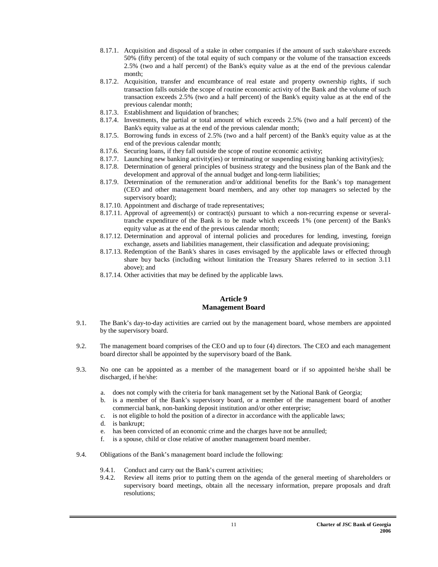- 8.17.1. Acquisition and disposal of a stake in other companies if the amount of such stake/share exceeds 50% (fifty percent) of the total equity of such company or the volume of the transaction exceeds 2.5% (two and a half percent) of the Bank's equity value as at the end of the previous calendar month;
- 8.17.2. Acquisition, transfer and encumbrance of real estate and property ownership rights, if such transaction falls outside the scope of routine economic activity of the Bank and the volume of such transaction exceeds 2.5% (two and a half percent) of the Bank's equity value as at the end of the previous calendar month;
- 8.17.3. Establishment and liquidation of branches;
- 8.17.4. Investments, the partial or total amount of which exceeds 2.5% (two and a half percent) of the Bank's equity value as at the end of the previous calendar month;
- 8.17.5. Borrowing funds in excess of 2.5% (two and a half percent) of the Bank's equity value as at the end of the previous calendar month;
- 8.17.6. Securing loans, if they fall outside the scope of routine economic activity;
- 8.17.7. Launching new banking activity(ies) or terminating or suspending existing banking activity(ies);
- 8.17.8. Determination of general principles of business strategy and the business plan of the Bank and the development and approval of the annual budget and long-term liabilities;
- 8.17.9. Determination of the remuneration and/or additional benefits for the Bank's top management (CEO and other management board members, and any other top managers so selected by the supervisory board);
- 8.17.10. Appointment and discharge of trade representatives;
- 8.17.11. Approval of agreement(s) or contract(s) pursuant to which a non-recurring expense or severaltranche expenditure of the Bank is to be made which exceeds 1% (one percent) of the Bank's equity value as at the end of the previous calendar month;
- 8.17.12. Determination and approval of internal policies and procedures for lending, investing, foreign exchange, assets and liabilities management, their classification and adequate provisioning;
- 8.17.13. Redemption of the Bank's shares in cases envisaged by the applicable laws or effected through share buy backs (including without limitation the Treasury Shares referred to in section 3.11 above); and
- 8.17.14. Other activities that may be defined by the applicable laws.

#### **Article 9 Management Board**

- 9.1. The Bank's day-to-day activities are carried out by the management board, whose members are appointed by the supervisory board.
- 9.2. The management board comprises of the CEO and up to four (4) directors. The CEO and each management board director shall be appointed by the supervisory board of the Bank.
- 9.3. No one can be appointed as a member of the management board or if so appointed he/she shall be discharged, if he/she:
	- a. does not comply with the criteria for bank management set by the National Bank of Georgia;
	- b. is a member of the Bank's supervisory board, or a member of the management board of another commercial bank, non-banking deposit institution and/or other enterprise;
	- c. is not eligible to hold the position of a director in accordance with the applicable laws;
	- d. is bankrupt;
	- e. has been convicted of an economic crime and the charges have not be annulled;
	- f. is a spouse, child or close relative of another management board member.
- 9.4. Obligations of the Bank's management board include the following:
	- 9.4.1. Conduct and carry out the Bank's current activities;
	- 9.4.2. Review all items prior to putting them on the agenda of the general meeting of shareholders or supervisory board meetings, obtain all the necessary information, prepare proposals and draft resolutions;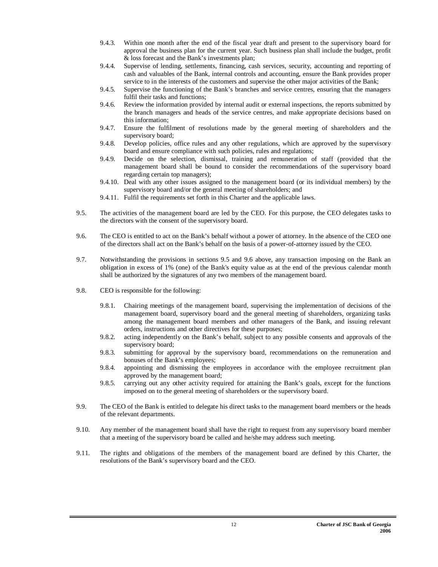- 9.4.3. Within one month after the end of the fiscal year draft and present to the supervisory board for approval the business plan for the current year. Such business plan shall include the budget, profit & loss forecast and the Bank's investments plan;
- 9.4.4. Supervise of lending, settlements, financing, cash services, security, accounting and reporting of cash and valuables of the Bank, internal controls and accounting, ensure the Bank provides proper service to in the interests of the customers and supervise the other major activities of the Bank;
- 9.4.5. Supervise the functioning of the Bank's branches and service centres, ensuring that the managers fulfil their tasks and functions;
- 9.4.6. Review the information provided by internal audit or external inspections, the reports submitted by the branch managers and heads of the service centres, and make appropriate decisions based on this information;
- 9.4.7. Ensure the fulfilment of resolutions made by the general meeting of shareholders and the supervisory board;
- 9.4.8. Develop policies, office rules and any other regulations, which are approved by the supervisory board and ensure compliance with such policies, rules and regulations;
- 9.4.9. Decide on the selection, dismissal, training and remuneration of staff (provided that the management board shall be bound to consider the recommendations of the supervisory board regarding certain top managers);
- 9.4.10. Deal with any other issues assigned to the management board (or its individual members) by the supervisory board and/or the general meeting of shareholders; and
- 9.4.11. Fulfil the requirements set forth in this Charter and the applicable laws.
- 9.5. The activities of the management board are led by the CEO. For this purpose, the CEO delegates tasks to the directors with the consent of the supervisory board.
- 9.6. The CEO is entitled to act on the Bank's behalf without a power of attorney. In the absence of the CEO one of the directors shall act on the Bank's behalf on the basis of a power-of-attorney issued by the CEO.
- 9.7. Notwithstanding the provisions in sections 9.5 and 9.6 above, any transaction imposing on the Bank an obligation in excess of 1% (one) of the Bank's equity value as at the end of the previous calendar month shall be authorized by the signatures of any two members of the management board.
- 9.8. CEO is responsible for the following:
	- 9.8.1. Chairing meetings of the management board, supervising the implementation of decisions of the management board, supervisory board and the general meeting of shareholders, organizing tasks among the management board members and other managers of the Bank, and issuing relevant orders, instructions and other directives for these purposes;
	- 9.8.2. acting independently on the Bank's behalf, subject to any possible consents and approvals of the supervisory board;
	- 9.8.3. submitting for approval by the supervisory board, recommendations on the remuneration and bonuses of the Bank's employees;
	- 9.8.4. appointing and dismissing the employees in accordance with the employee recruitment plan approved by the management board;
	- 9.8.5. carrying out any other activity required for attaining the Bank's goals, except for the functions imposed on to the general meeting of shareholders or the supervisory board.
- 9.9. The CEO of the Bank is entitled to delegate his direct tasks to the management board members or the heads of the relevant departments.
- 9.10. Any member of the management board shall have the right to request from any supervisory board member that a meeting of the supervisory board be called and he/she may address such meeting.
- 9.11. The rights and obligations of the members of the management board are defined by this Charter, the resolutions of the Bank's supervisory board and the CEO.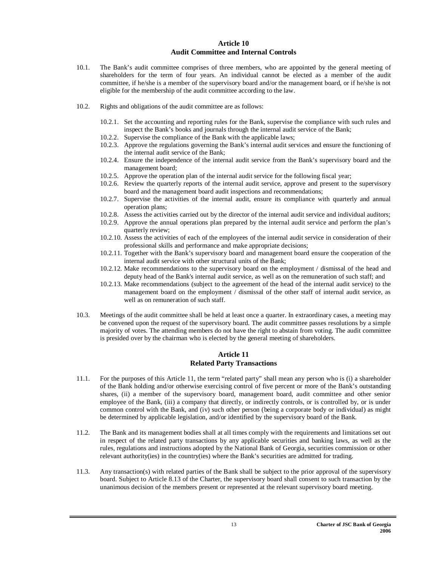#### **Article 10 Audit Committee and Internal Controls**

- 10.1. The Bank's audit committee comprises of three members, who are appointed by the general meeting of shareholders for the term of four years. An individual cannot be elected as a member of the audit committee, if he/she is a member of the supervisory board and/or the management board, or if he/she is not eligible for the membership of the audit committee according to the law.
- 10.2. Rights and obligations of the audit committee are as follows:
	- 10.2.1. Set the accounting and reporting rules for the Bank, supervise the compliance with such rules and inspect the Bank's books and journals through the internal audit service of the Bank;
	- 10.2.2. Supervise the compliance of the Bank with the applicable laws;
	- 10.2.3. Approve the regulations governing the Bank's internal audit services and ensure the functioning of the internal audit service of the Bank;
	- 10.2.4. Ensure the independence of the internal audit service from the Bank's supervisory board and the management board;
	- 10.2.5. Approve the operation plan of the internal audit service for the following fiscal year;
	- 10.2.6. Review the quarterly reports of the internal audit service, approve and present to the supervisory board and the management board audit inspections and recommendations;
	- 10.2.7. Supervise the activities of the internal audit, ensure its compliance with quarterly and annual operation plans;
	- 10.2.8. Assess the activities carried out by the director of the internal audit service and individual auditors;
	- 10.2.9. Approve the annual operations plan prepared by the internal audit service and perform the plan's quarterly review;
	- 10.2.10. Assess the activities of each of the employees of the internal audit service in consideration of their professional skills and performance and make appropriate decisions;
	- 10.2.11. Together with the Bank's supervisory board and management board ensure the cooperation of the internal audit service with other structural units of the Bank;
	- 10.2.12. Make recommendations to the supervisory board on the employment / dismissal of the head and deputy head of the Bank's internal audit service, as well as on the remuneration of such staff; and
	- 10.2.13. Make recommendations (subject to the agreement of the head of the internal audit service) to the management board on the employment / dismissal of the other staff of internal audit service, as well as on remuneration of such staff.
- 10.3. Meetings of the audit committee shall be held at least once a quarter. In extraordinary cases, a meeting may be convened upon the request of the supervisory board. The audit committee passes resolutions by a simple majority of votes. The attending members do not have the right to abstain from voting. The audit committee is presided over by the chairman who is elected by the general meeting of shareholders.

#### **Article 11 Related Party Transactions**

- 11.1. For the purposes of this Article 11, the term "related party" shall mean any person who is (i) a shareholder of the Bank holding and/or otherwise exercising control of five percent or more of the Bank's outstanding shares, (ii) a member of the supervisory board, management board, audit committee and other senior employee of the Bank, (iii) a company that directly, or indirectly controls, or is controlled by, or is under common control with the Bank, and (iv) such other person (being a corporate body or individual) as might be determined by applicable legislation, and/or identified by the supervisory board of the Bank.
- 11.2. The Bank and its management bodies shall at all times comply with the requirements and limitations set out in respect of the related party transactions by any applicable securities and banking laws, as well as the rules, regulations and instructions adopted by the National Bank of Georgia, securities commission or other relevant authority(ies) in the country(ies) where the Bank's securities are admitted for trading.
- 11.3. Any transaction(s) with related parties of the Bank shall be subject to the prior approval of the supervisory board. Subject to Article 8.13 of the Charter, the supervisory board shall consent to such transaction by the unanimous decision of the members present or represented at the relevant supervisory board meeting.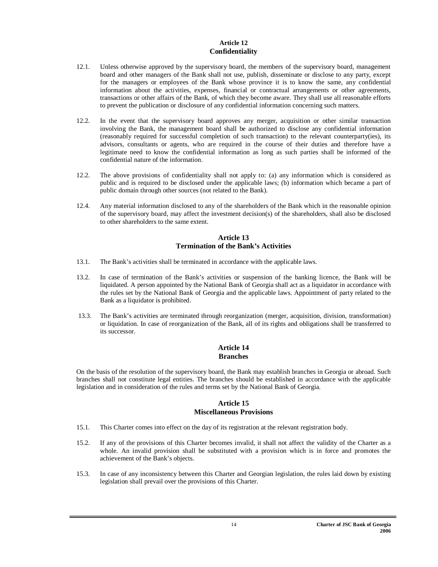#### **Article 12 Confidentiality**

- 12.1. Unless otherwise approved by the supervisory board, the members of the supervisory board, management board and other managers of the Bank shall not use, publish, disseminate or disclose to any party, except for the managers or employees of the Bank whose province it is to know the same, any confidential information about the activities, expenses, financial or contractual arrangements or other agreements, transactions or other affairs of the Bank, of which they become aware. They shall use all reasonable efforts to prevent the publication or disclosure of any confidential information concerning such matters.
- 12.2. In the event that the supervisory board approves any merger, acquisition or other similar transaction involving the Bank, the management board shall be authorized to disclose any confidential information (reasonably required for successful completion of such transaction) to the relevant counterparty(ies), its advisors, consultants or agents, who are required in the course of their duties and therefore have a legitimate need to know the confidential information as long as such parties shall be informed of the confidential nature of the information.
- 12.2. The above provisions of confidentiality shall not apply to: (a) any information which is considered as public and is required to be disclosed under the applicable laws; (b) information which became a part of public domain through other sources (not related to the Bank).
- 12.4. Any material information disclosed to any of the shareholders of the Bank which in the reasonable opinion of the supervisory board, may affect the investment decision(s) of the shareholders, shall also be disclosed to other shareholders to the same extent.

#### **Article 13 Termination of the Bank's Activities**

- 13.1. The Bank's activities shall be terminated in accordance with the applicable laws.
- 13.2. In case of termination of the Bank's activities or suspension of the banking licence, the Bank will be liquidated. A person appointed by the National Bank of Georgia shall act as a liquidator in accordance with the rules set by the National Bank of Georgia and the applicable laws. Appointment of party related to the Bank as a liquidator is prohibited.
- 13.3. The Bank's activities are terminated through reorganization (merger, acquisition, division, transformation) or liquidation. In case of reorganization of the Bank, all of its rights and obligations shall be transferred to its successor.

#### **Article 14 Branches**

On the basis of the resolution of the supervisory board, the Bank may establish branches in Georgia or abroad. Such branches shall not constitute legal entities. The branches should be established in accordance with the applicable legislation and in consideration of the rules and terms set by the National Bank of Georgia.

### **Article 15 Miscellaneous Provisions**

- 15.1. This Charter comes into effect on the day of its registration at the relevant registration body.
- 15.2. If any of the provisions of this Charter becomes invalid, it shall not affect the validity of the Charter as a whole. An invalid provision shall be substituted with a provision which is in force and promotes the achievement of the Bank's objects.
- 15.3. In case of any inconsistency between this Charter and Georgian legislation, the rules laid down by existing legislation shall prevail over the provisions of this Charter.